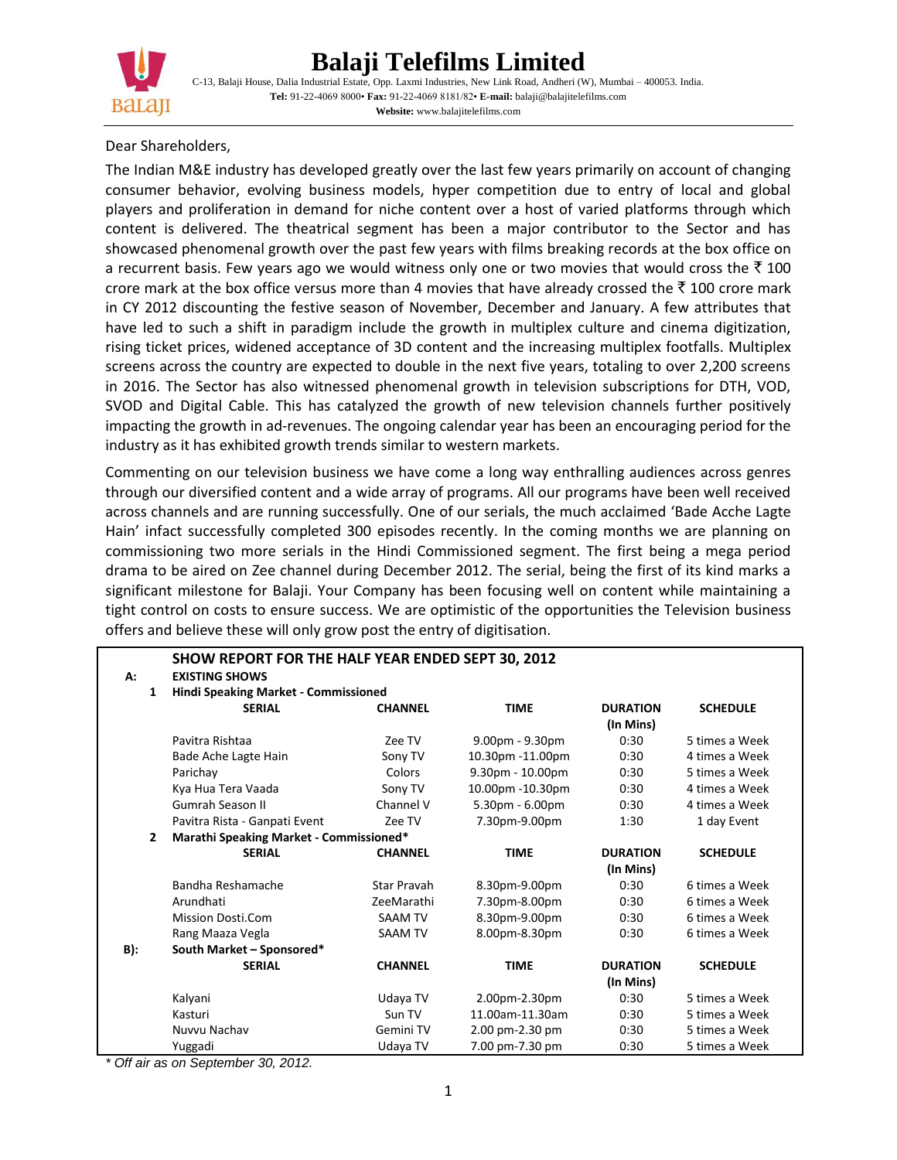

# **Balaji Telefilms Limited**

C-13, Balaji House, Dalia Industrial Estate, Opp. Laxmi Industries, New Link Road, Andheri (W), Mumbai – 400053. India. **Tel:** 91-22-4069 8000• **Fax:** 91-22-4069 8181/82• **E-mail:** balaji@balajitelefilms.com **Website:** www.balajitelefilms.com

#### Dear Shareholders,

The Indian M&E industry has developed greatly over the last few years primarily on account of changing consumer behavior, evolving business models, hyper competition due to entry of local and global players and proliferation in demand for niche content over a host of varied platforms through which content is delivered. The theatrical segment has been a major contributor to the Sector and has showcased phenomenal growth over the past few years with films breaking records at the box office on a recurrent basis. Few years ago we would witness only one or two movies that would cross the  $\bar{\tau}$  100 crore mark at the box office versus more than 4 movies that have already crossed the  $\bar{\tau}$  100 crore mark in CY 2012 discounting the festive season of November, December and January. A few attributes that have led to such a shift in paradigm include the growth in multiplex culture and cinema digitization, rising ticket prices, widened acceptance of 3D content and the increasing multiplex footfalls. Multiplex screens across the country are expected to double in the next five years, totaling to over 2,200 screens in 2016. The Sector has also witnessed phenomenal growth in television subscriptions for DTH, VOD, SVOD and Digital Cable. This has catalyzed the growth of new television channels further positively impacting the growth in ad-revenues. The ongoing calendar year has been an encouraging period for the industry as it has exhibited growth trends similar to western markets.

Commenting on our television business we have come a long way enthralling audiences across genres through our diversified content and a wide array of programs. All our programs have been well received across channels and are running successfully. One of our serials, the much acclaimed 'Bade Acche Lagte Hain' infact successfully completed 300 episodes recently. In the coming months we are planning on commissioning two more serials in the Hindi Commissioned segment. The first being a mega period drama to be aired on Zee channel during December 2012. The serial, being the first of its kind marks a significant milestone for Balaji. Your Company has been focusing well on content while maintaining a tight control on costs to ensure success. We are optimistic of the opportunities the Television business offers and believe these will only grow post the entry of digitisation.

|                | SHOW REPORT FOR THE HALF YEAR ENDED SEPT 30, 2012 |                |                    |                 |                 |
|----------------|---------------------------------------------------|----------------|--------------------|-----------------|-----------------|
| A:             | <b>EXISTING SHOWS</b>                             |                |                    |                 |                 |
| 1              | Hindi Speaking Market - Commissioned              |                |                    |                 |                 |
|                | <b>SERIAL</b>                                     | <b>CHANNEL</b> | <b>TIME</b>        | <b>DURATION</b> | <b>SCHEDULE</b> |
|                |                                                   |                |                    | (In Mins)       |                 |
|                | Pavitra Rishtaa                                   | Zee TV         | $9.00pm - 9.30pm$  | 0:30            | 5 times a Week  |
|                | Bade Ache Lagte Hain                              | Sony TV        | 10.30pm -11.00pm   | 0:30            | 4 times a Week  |
|                | Parichay                                          | Colors         | $9.30pm - 10.00pm$ | 0:30            | 5 times a Week  |
|                | Kya Hua Tera Vaada                                | Sony TV        | 10.00pm -10.30pm   | 0:30            | 4 times a Week  |
|                | Gumrah Season II                                  | Channel V      | 5.30pm - 6.00pm    | 0:30            | 4 times a Week  |
|                | Pavitra Rista - Ganpati Event                     | Zee TV         | 7.30pm-9.00pm      | 1:30            | 1 day Event     |
| $\overline{2}$ | Marathi Speaking Market - Commissioned*           |                |                    |                 |                 |
|                | <b>SERIAL</b>                                     | <b>CHANNEL</b> | <b>TIME</b>        | <b>DURATION</b> | <b>SCHEDULE</b> |
|                |                                                   |                |                    | (In Mins)       |                 |
|                | Bandha Reshamache                                 | Star Pravah    | 8.30pm-9.00pm      | 0:30            | 6 times a Week  |
|                | Arundhati                                         | ZeeMarathi     | 7.30pm-8.00pm      | 0:30            | 6 times a Week  |
|                | <b>Mission Dosti.Com</b>                          | <b>SAAM TV</b> | 8.30pm-9.00pm      | 0:30            | 6 times a Week  |
|                | Rang Maaza Vegla                                  | <b>SAAM TV</b> | 8.00pm-8.30pm      | 0:30            | 6 times a Week  |
| B):            | South Market - Sponsored*                         |                |                    |                 |                 |
|                | <b>SERIAL</b>                                     | <b>CHANNEL</b> | <b>TIME</b>        | <b>DURATION</b> | <b>SCHEDULE</b> |
|                |                                                   |                |                    | (In Mins)       |                 |
|                | Kalyani                                           | Udaya TV       | 2.00pm-2.30pm      | 0:30            | 5 times a Week  |
|                | Kasturi                                           | Sun TV         | 11.00am-11.30am    | 0:30            | 5 times a Week  |
|                | Nuvvu Nachav                                      | Gemini TV      | 2.00 pm-2.30 pm    | 0:30            | 5 times a Week  |
|                | Yuggadi                                           | Udaya TV       | 7.00 pm-7.30 pm    | 0:30            | 5 times a Week  |

*\* Off air as on September 30, 2012.*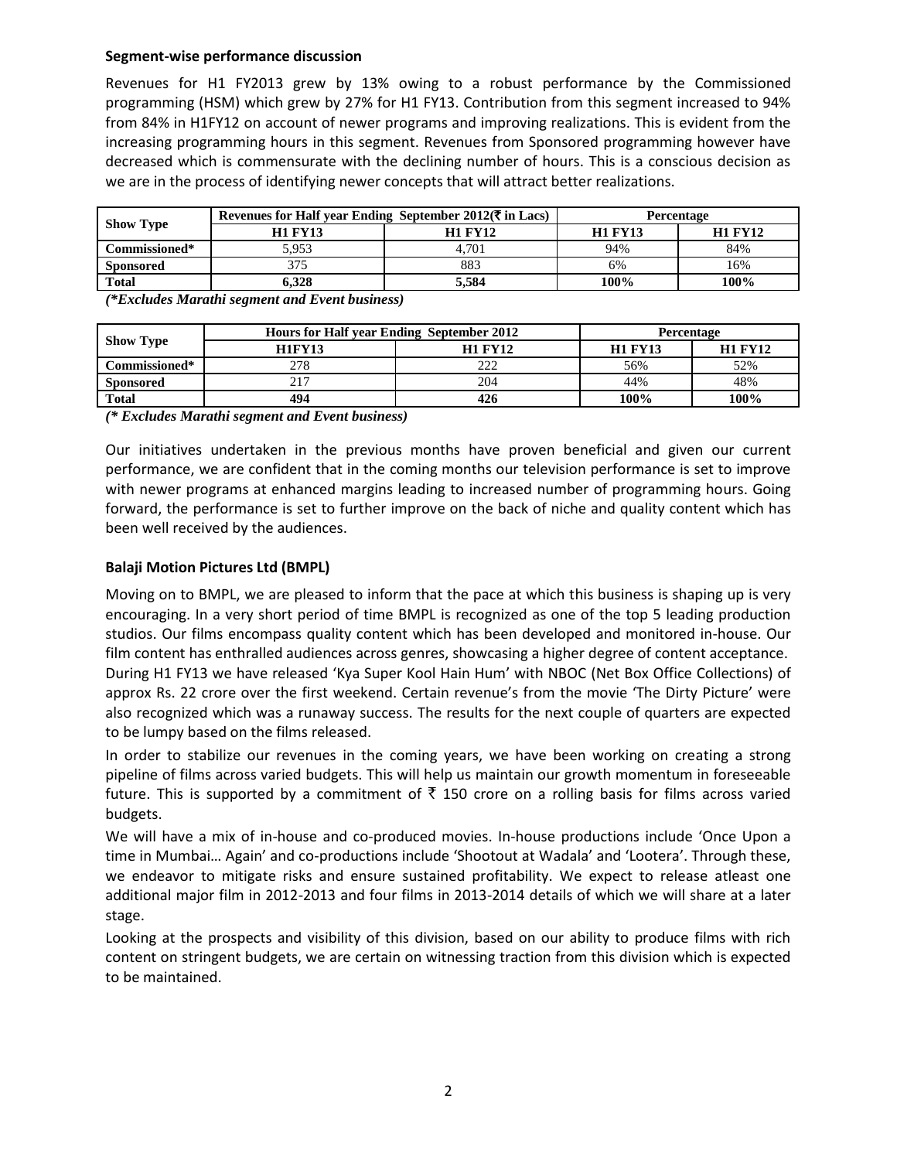## **Segment-wise performance discussion**

Revenues for H1 FY2013 grew by 13% owing to a robust performance by the Commissioned programming (HSM) which grew by 27% for H1 FY13. Contribution from this segment increased to 94% from 84% in H1FY12 on account of newer programs and improving realizations. This is evident from the increasing programming hours in this segment. Revenues from Sponsored programming however have decreased which is commensurate with the declining number of hours. This is a conscious decision as we are in the process of identifying newer concepts that will attract better realizations.

|                                   | Revenues for Half year Ending September 2012( $\bar{\tau}$ in Lacs) |                | Percentage     |                |  |  |
|-----------------------------------|---------------------------------------------------------------------|----------------|----------------|----------------|--|--|
| <b>Show Type</b><br>Commissioned* | <b>H1 FY13</b>                                                      | <b>H1 FY12</b> | <b>H1 FY13</b> | <b>H1 FY12</b> |  |  |
|                                   | 5.953                                                               | 4.701          | 94%            | 84%            |  |  |
| <b>Sponsored</b>                  |                                                                     | 883            | 6%             | 16%            |  |  |
| <b>Total</b>                      | 6.328                                                               | 5.584          | 100%           | 100%           |  |  |
| $ -$                              | $ -$<br>$ -$<br>_______                                             |                |                |                |  |  |

*(\*Excludes Marathi segment and Event business)*

|                  | Hours for Half year Ending September 2012 | Percentage     |                |                |
|------------------|-------------------------------------------|----------------|----------------|----------------|
| <b>Show Type</b> | <b>H1FY13</b>                             | <b>H1 FY12</b> | <b>H1 FY13</b> | <b>H1 FY12</b> |
| Commissioned*    | 278                                       | າາາ<br>---     | 56%            | 52%            |
| <b>Sponsored</b> |                                           | 204            | 44%            | 48%            |
| Total            | 494                                       | 426            | 100%           | 100%           |

*(\* Excludes Marathi segment and Event business)*

Our initiatives undertaken in the previous months have proven beneficial and given our current performance, we are confident that in the coming months our television performance is set to improve with newer programs at enhanced margins leading to increased number of programming hours. Going forward, the performance is set to further improve on the back of niche and quality content which has been well received by the audiences.

## **Balaji Motion Pictures Ltd (BMPL)**

Moving on to BMPL, we are pleased to inform that the pace at which this business is shaping up is very encouraging. In a very short period of time BMPL is recognized as one of the top 5 leading production studios. Our films encompass quality content which has been developed and monitored in-house. Our film content has enthralled audiences across genres, showcasing a higher degree of content acceptance. During H1 FY13 we have released 'Kya Super Kool Hain Hum' with NBOC (Net Box Office Collections) of approx Rs. 22 crore over the first weekend. Certain revenue's from the movie 'The Dirty Picture' were also recognized which was a runaway success. The results for the next couple of quarters are expected to be lumpy based on the films released.

In order to stabilize our revenues in the coming years, we have been working on creating a strong pipeline of films across varied budgets. This will help us maintain our growth momentum in foreseeable future. This is supported by a commitment of  $\bar{\tau}$  150 crore on a rolling basis for films across varied budgets.

We will have a mix of in-house and co-produced movies. In-house productions include 'Once Upon a time in Mumbai… Again' and co-productions include 'Shootout at Wadala' and 'Lootera'. Through these, we endeavor to mitigate risks and ensure sustained profitability. We expect to release atleast one additional major film in 2012-2013 and four films in 2013-2014 details of which we will share at a later stage.

Looking at the prospects and visibility of this division, based on our ability to produce films with rich content on stringent budgets, we are certain on witnessing traction from this division which is expected to be maintained.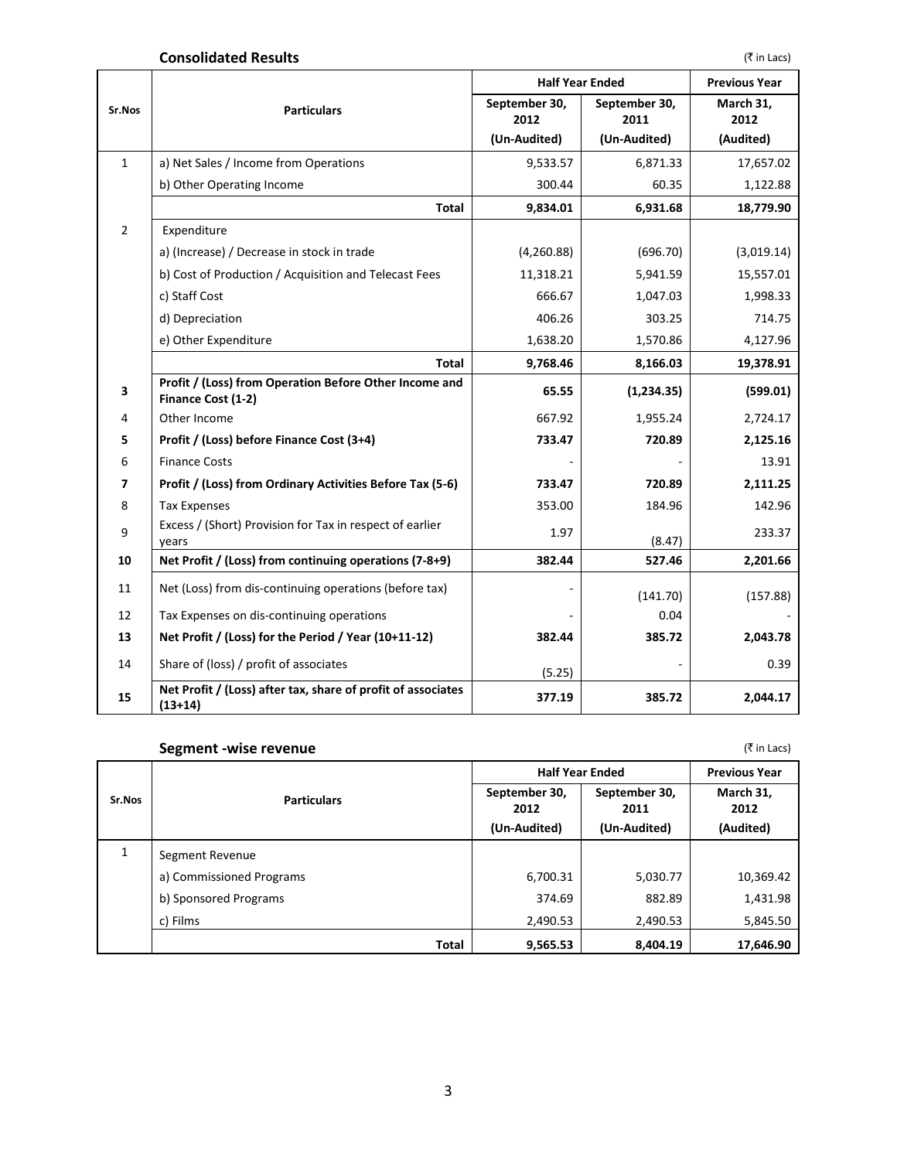## **Consolidated Results** (₹ in Lacs)

|                |                                                                           | <b>Half Year Ended</b> |                       | <b>Previous Year</b> |
|----------------|---------------------------------------------------------------------------|------------------------|-----------------------|----------------------|
| Sr.Nos         | <b>Particulars</b>                                                        | September 30,<br>2012  | September 30,<br>2011 | March 31,<br>2012    |
|                |                                                                           | (Un-Audited)           | (Un-Audited)          | (Audited)            |
| $\mathbf{1}$   | a) Net Sales / Income from Operations                                     | 9,533.57               | 6,871.33              | 17,657.02            |
|                | b) Other Operating Income                                                 | 300.44                 | 60.35                 | 1,122.88             |
|                | Total                                                                     | 9,834.01               | 6,931.68              | 18,779.90            |
| $\overline{2}$ | Expenditure                                                               |                        |                       |                      |
|                | a) (Increase) / Decrease in stock in trade                                | (4,260.88)             | (696.70)              | (3,019.14)           |
|                | b) Cost of Production / Acquisition and Telecast Fees                     | 11,318.21              | 5,941.59              | 15,557.01            |
|                | c) Staff Cost                                                             | 666.67                 | 1,047.03              | 1,998.33             |
|                | d) Depreciation                                                           | 406.26                 | 303.25                | 714.75               |
|                | e) Other Expenditure                                                      | 1,638.20               | 1,570.86              | 4,127.96             |
|                | <b>Total</b>                                                              | 9,768.46               | 8,166.03              | 19,378.91            |
| 3              | Profit / (Loss) from Operation Before Other Income and                    | 65.55                  | (1,234.35)            | (599.01)             |
| 4              | Finance Cost (1-2)<br>Other Income                                        | 667.92                 | 1,955.24              | 2,724.17             |
| 5              | Profit / (Loss) before Finance Cost (3+4)                                 | 733.47                 | 720.89                | 2,125.16             |
| 6              | <b>Finance Costs</b>                                                      |                        |                       | 13.91                |
| 7              | Profit / (Loss) from Ordinary Activities Before Tax (5-6)                 | 733.47                 | 720.89                | 2,111.25             |
| 8              | <b>Tax Expenses</b>                                                       | 353.00                 | 184.96                | 142.96               |
|                | Excess / (Short) Provision for Tax in respect of earlier                  |                        |                       |                      |
| 9              | years                                                                     | 1.97                   | (8.47)                | 233.37               |
| 10             | Net Profit / (Loss) from continuing operations (7-8+9)                    | 382.44                 | 527.46                | 2,201.66             |
| 11             | Net (Loss) from dis-continuing operations (before tax)                    |                        | (141.70)              | (157.88)             |
| 12             | Tax Expenses on dis-continuing operations                                 |                        | 0.04                  |                      |
| 13             | Net Profit / (Loss) for the Period / Year (10+11-12)                      | 382.44                 | 385.72                | 2,043.78             |
| 14             | Share of (loss) / profit of associates                                    | (5.25)                 |                       | 0.39                 |
| 15             | Net Profit / (Loss) after tax, share of profit of associates<br>$(13+14)$ | 377.19                 | 385.72                | 2,044.17             |

# **Segment -wise revenue** (₹ in Lacs)

|        |                          | <b>Half Year Ended</b>                | <b>Previous Year</b>                  |                                |  |
|--------|--------------------------|---------------------------------------|---------------------------------------|--------------------------------|--|
| Sr.Nos | <b>Particulars</b>       | September 30,<br>2012<br>(Un-Audited) | September 30,<br>2011<br>(Un-Audited) | March 31,<br>2012<br>(Audited) |  |
| 1      | Segment Revenue          |                                       |                                       |                                |  |
|        | a) Commissioned Programs | 6,700.31                              | 5,030.77                              | 10,369.42                      |  |
|        | b) Sponsored Programs    | 374.69                                | 882.89                                | 1,431.98                       |  |
|        | c) Films                 | 2,490.53                              | 2,490.53                              | 5,845.50                       |  |
|        | <b>Total</b>             | 9,565.53                              | 8,404.19                              | 17,646.90                      |  |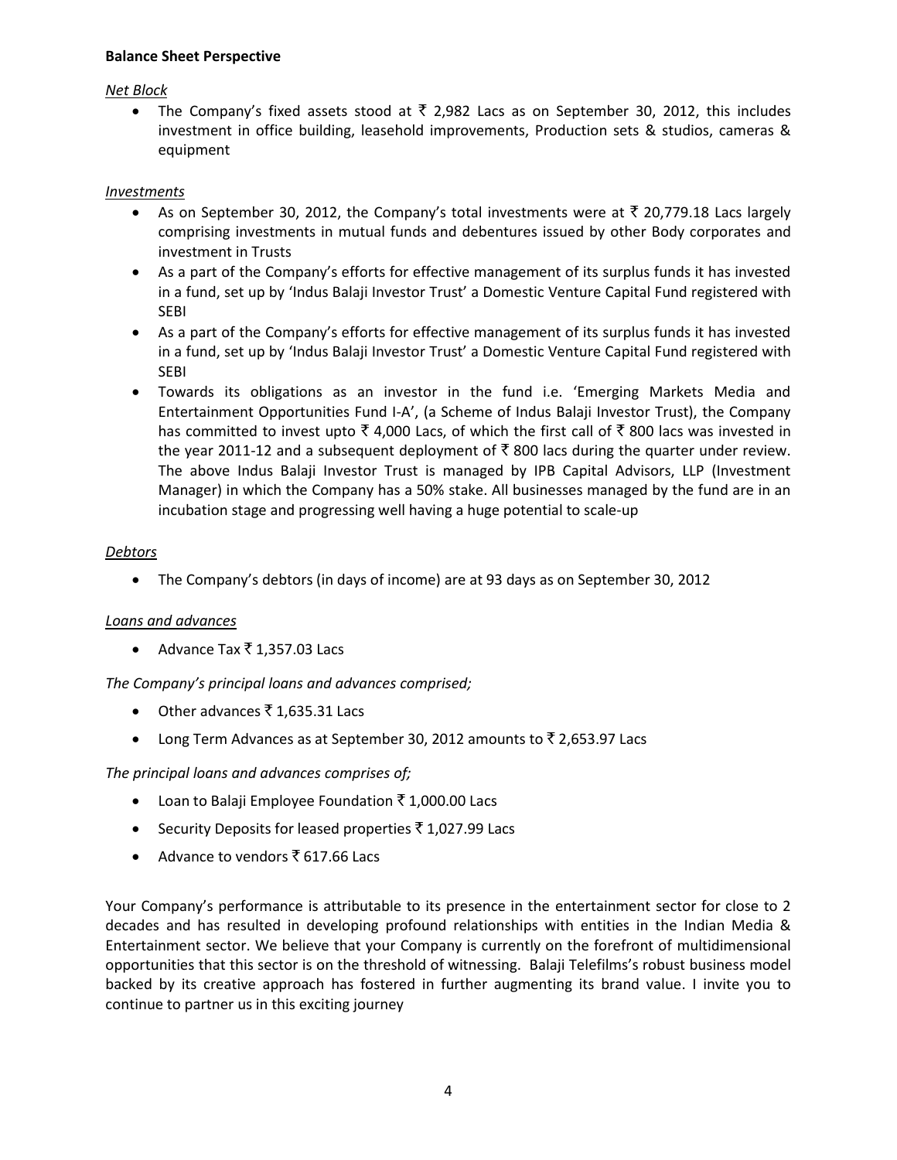## **Balance Sheet Perspective**

#### *Net Block*

• The Company's fixed assets stood at  $\bar{\tau}$  2,982 Lacs as on September 30, 2012, this includes investment in office building, leasehold improvements, Production sets & studios, cameras & equipment

#### *Investments*

- As on September 30, 2012, the Company's total investments were at  $\bar{\tau}$  20,779.18 Lacs largely comprising investments in mutual funds and debentures issued by other Body corporates and investment in Trusts
- As a part of the Company's efforts for effective management of its surplus funds it has invested in a fund, set up by 'Indus Balaji Investor Trust' a Domestic Venture Capital Fund registered with SEBI
- As a part of the Company's efforts for effective management of its surplus funds it has invested in a fund, set up by 'Indus Balaji Investor Trust' a Domestic Venture Capital Fund registered with **SFBI**
- Towards its obligations as an investor in the fund i.e. 'Emerging Markets Media and Entertainment Opportunities Fund I-A', (a Scheme of Indus Balaji Investor Trust), the Company has committed to invest upto  $\overline{\xi}$  4,000 Lacs, of which the first call of  $\overline{\xi}$  800 lacs was invested in the year 2011-12 and a subsequent deployment of  $\bar{\tau}$  800 lacs during the quarter under review. The above Indus Balaji Investor Trust is managed by IPB Capital Advisors, LLP (Investment Manager) in which the Company has a 50% stake. All businesses managed by the fund are in an incubation stage and progressing well having a huge potential to scale-up

### *Debtors*

The Company's debtors (in days of income) are at 93 days as on September 30, 2012

### *Loans and advances*

• Advance Tax  $\bar{x}$  1,357.03 Lacs

*The Company's principal loans and advances comprised;*

- Other advances  $\bar{x}$  1,635.31 Lacs
- Long Term Advances as at September 30, 2012 amounts to  $\bar{z}$  2,653.97 Lacs

# *The principal loans and advances comprises of;*

- Loan to Balaji Employee Foundation  $\bar{\tau}$  1,000.00 Lacs
- Security Deposits for leased properties  $\bar{\bar{\xi}}$  1,027.99 Lacs
- Advance to vendors  $\bar{\bar{\xi}}$  617.66 Lacs

Your Company's performance is attributable to its presence in the entertainment sector for close to 2 decades and has resulted in developing profound relationships with entities in the Indian Media & Entertainment sector. We believe that your Company is currently on the forefront of multidimensional opportunities that this sector is on the threshold of witnessing. Balaji Telefilms's robust business model backed by its creative approach has fostered in further augmenting its brand value. I invite you to continue to partner us in this exciting journey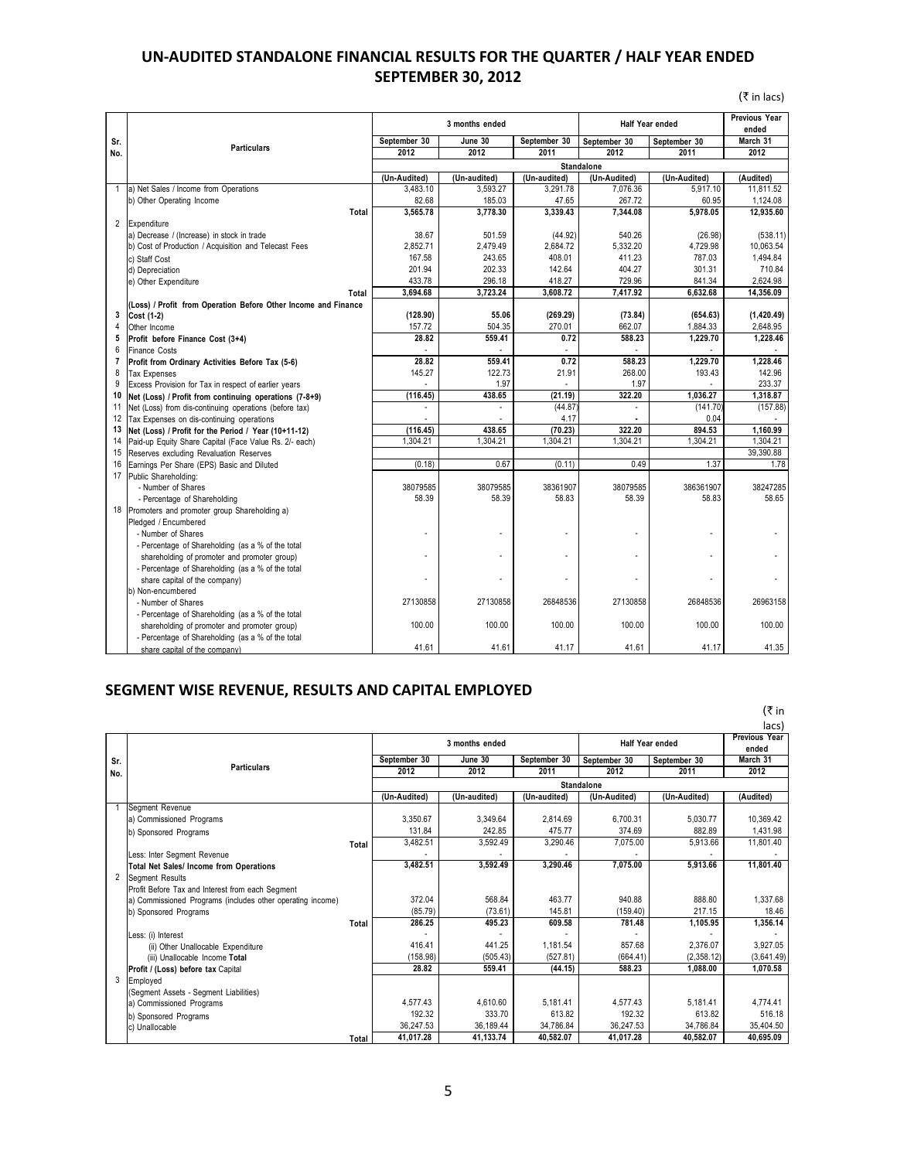# **UN-AUDITED STANDALONE FINANCIAL RESULTS FOR THE QUARTER / HALF YEAR ENDED SEPTEMBER 30, 2012**

|                |                                                                |              | SEPTEIVIDER 30, ZUIZ |              |                        |                        |                     |
|----------------|----------------------------------------------------------------|--------------|----------------------|--------------|------------------------|------------------------|---------------------|
|                |                                                                |              |                      |              |                        |                        | $(\bar{z}$ in lacs) |
|                |                                                                |              | 3 months ended       |              | <b>Half Year ended</b> | Previous Year<br>ended |                     |
| Sr.            |                                                                | September 30 | June 30              | September 30 | September 30           | September 30           | March 31            |
| No.            | <b>Particulars</b>                                             | 2012         | 2012                 | 2011         | 2012                   | 2011                   | 2012                |
|                |                                                                |              |                      |              | Standalone             |                        |                     |
|                |                                                                | (Un-Audited) | (Un-audited)         | (Un-audited) | (Un-Audited)           | (Un-Audited)           | (Audited)           |
| $\mathbf{1}$   | a) Net Sales / Income from Operations                          | 3.483.10     | 3.593.27             | 3,291.78     | 7.076.36               | 5.917.10               | 11,811.52           |
|                | b) Other Operating Income                                      | 82.68        | 185.03               | 47.65        | 267.72                 | 60.95                  | 1,124.08            |
|                | <b>Total</b>                                                   | 3.565.78     | 3,778.30             | 3,339.43     | 7,344.08               | 5,978.05               | 12,935.60           |
| $\overline{2}$ | Expenditure                                                    |              |                      |              |                        |                        |                     |
|                | a) Decrease / (Increase) in stock in trade                     | 38.67        | 501.59               | (44.92)      | 540.26                 | (26.98)                | (538.11)            |
|                | b) Cost of Production / Acquisition and Telecast Fees          | 2,852.71     | 2,479.49             | 2,684.72     | 5,332.20               | 4,729.98               | 10,063.54           |
|                | c) Staff Cost                                                  | 167.58       | 243.65               | 408.01       | 411.23                 | 787.03                 | 1,494.84            |
|                | d) Depreciation                                                | 201.94       | 202.33               | 142.64       | 404.27                 | 301.31                 | 710.84              |
|                | e) Other Expenditure                                           | 433.78       | 296.18               | 418.27       | 729.96                 | 841.34                 | 2.624.98            |
|                | Total                                                          | 3,694.68     | 3,723.24             | 3,608.72     | 7,417.92               | 6,632.68               | 14,356.09           |
|                | (Loss) / Profit from Operation Before Other Income and Finance |              |                      |              |                        |                        |                     |
| 3              | Cost (1-2)                                                     | (128.90)     | 55.06                | (269.29)     | (73.84)                | (654.63)               | (1, 420.49)         |
| 4              | Other Income                                                   | 157.72       | 504.35               | 270.01       | 662.07                 | 1,884.33               | 2,648.95            |
| 5              | Profit before Finance Cost (3+4)                               | 28.82        | 559.41               | 0.72         | 588.23                 | 1,229.70               | 1,228.46            |
| 6              | <b>Finance Costs</b>                                           |              |                      |              |                        |                        |                     |
| $\overline{7}$ | Profit from Ordinary Activities Before Tax (5-6)               | 28.82        | 559.41               | 0.72         | 588.23                 | 1,229.70               | 1,228.46            |
| 8              | <b>Tax Expenses</b>                                            | 145.27       | 122.73               | 21.91        | 268.00                 | 193.43                 | 142.96              |
| 9              | Excess Provision for Tax in respect of earlier years           |              | 1.97                 |              | 1.97                   |                        | 233.37              |
| 10             | Net (Loss) / Profit from continuing operations (7-8+9)         | (116.45)     | 438.65               | (21.19)      | 322.20                 | 1,036.27               | 1,318.87            |
| 11             | Net (Loss) from dis-continuing operations (before tax)         |              |                      | (44.87)      |                        | (141.70)               | (157.88)            |
| 12             | Tax Expenses on dis-continuing operations                      |              |                      | 4.17         |                        | 0.04                   |                     |
| 13             | Net (Loss) / Profit for the Period / Year (10+11-12)           | (116.45)     | 438.65               | (70.23)      | 322.20                 | 894.53                 | 1.160.99            |
| 14             | Paid-up Equity Share Capital (Face Value Rs. 2/- each)         | 1,304.21     | 1,304.21             | 1,304.21     | 1,304.21               | 1,304.21               | 1,304.21            |
| 15             | Reserves excluding Revaluation Reserves                        |              |                      |              |                        |                        | 39,390.88           |
| 16             | Earnings Per Share (EPS) Basic and Diluted                     | (0.18)       | 0.67                 | (0.11)       | 0.49                   | 1.37                   | 1.78                |
| 17             | Public Shareholding:                                           |              |                      |              |                        |                        |                     |
|                | - Number of Shares                                             | 38079585     | 38079585             | 38361907     | 38079585               | 386361907              | 38247285            |
|                | - Percentage of Shareholding                                   | 58.39        | 58.39                | 58.83        | 58.39                  | 58.83                  | 58.65               |
| 18             | Promoters and promoter group Shareholding a)                   |              |                      |              |                        |                        |                     |
|                | Pledged / Encumbered                                           |              |                      |              |                        |                        |                     |
|                | - Number of Shares                                             |              |                      | ÷,           | ÷                      | ÷.                     |                     |
|                | - Percentage of Shareholding (as a % of the total              |              |                      |              |                        |                        |                     |
|                | shareholding of promoter and promoter group)                   |              |                      | $\bar{a}$    |                        | ÷.                     |                     |
|                | - Percentage of Shareholding (as a % of the total              |              |                      |              |                        |                        |                     |
|                | share capital of the company)                                  |              |                      | L.           |                        |                        |                     |
|                | b) Non-encumbered                                              |              |                      |              |                        |                        |                     |
|                | - Number of Shares                                             | 27130858     | 27130858             | 26848536     | 27130858               | 26848536               | 26963158            |
|                | - Percentage of Shareholding (as a % of the total              |              |                      |              |                        |                        |                     |
|                | shareholding of promoter and promoter group)                   | 100.00       | 100.00               | 100.00       | 100.00                 | 100.00                 | 100.00              |
|                | - Percentage of Shareholding (as a % of the total              |              |                      |              |                        |                        |                     |
|                | share capital of the company)                                  | 41.61        | 41.61                | 41.17        | 41.61                  | 41.17                  | 41.35               |

# **SEGMENT WISE REVENUE, RESULTS AND CAPITAL EMPLOYED**

|     |                                                            |       |              |                |              |                        |              | (₹ in         |  |  |
|-----|------------------------------------------------------------|-------|--------------|----------------|--------------|------------------------|--------------|---------------|--|--|
|     |                                                            |       |              |                |              |                        |              | lacs)         |  |  |
|     |                                                            |       |              | 3 months ended |              | <b>Half Year ended</b> |              | Previous Year |  |  |
|     |                                                            |       |              |                |              |                        | ended        |               |  |  |
| Sr. | <b>Particulars</b>                                         |       | September 30 | June 30        | September 30 | September 30           | September 30 | March 31      |  |  |
| No. |                                                            |       | 2012         | 2012           | 2011         | 2012                   | 2011         | 2012          |  |  |
|     |                                                            |       | Standalone   |                |              |                        |              |               |  |  |
|     |                                                            |       | (Un-Audited) | (Un-audited)   | (Un-audited) | (Un-Audited)           | (Un-Audited) | (Audited)     |  |  |
|     | Segment Revenue                                            |       |              |                |              |                        |              |               |  |  |
|     | a) Commissioned Programs                                   |       | 3,350.67     | 3.349.64       | 2,814.69     | 6.700.31               | 5.030.77     | 10.369.42     |  |  |
|     | b) Sponsored Programs                                      |       | 131.84       | 242.85         | 475.77       | 374.69                 | 882.89       | 1,431.98      |  |  |
|     |                                                            | Total | 3,482.51     | 3,592.49       | 3,290.46     | 7.075.00               | 5,913.66     | 11,801.40     |  |  |
|     | Less: Inter Segment Revenue                                |       |              |                |              |                        |              |               |  |  |
|     | <b>Total Net Sales/ Income from Operations</b>             |       | 3,482.51     | 3,592.49       | 3.290.46     | 7.075.00               | 5,913.66     | 11.801.40     |  |  |
|     | <b>Segment Results</b>                                     |       |              |                |              |                        |              |               |  |  |
|     | Profit Before Tax and Interest from each Segment           |       |              |                |              |                        |              |               |  |  |
|     | a) Commissioned Programs (includes other operating income) |       | 372.04       | 568.84         | 463.77       | 940.88                 | 888.80       | 1,337.68      |  |  |
|     | b) Sponsored Programs                                      |       | (85.79)      | (73.61)        | 145.81       | (159.40)               | 217.15       | 18.46         |  |  |
|     |                                                            | Total | 286.25       | 495.23         | 609.58       | 781.48                 | 1.105.95     | 1,356.14      |  |  |
|     | Less: (i) Interest                                         |       |              |                |              |                        |              |               |  |  |
|     | (ii) Other Unallocable Expenditure                         |       | 416.41       | 441.25         | 1,181.54     | 857.68                 | 2.376.07     | 3,927.05      |  |  |
|     | (iii) Unallocable Income Total                             |       | (158.98)     | (505.43)       | (527.81)     | (664.41)               | (2,358.12)   | (3,641.49)    |  |  |
|     | Profit / (Loss) before tax Capital                         |       | 28.82        | 559.41         | (44.15)      | 588.23                 | 1.088.00     | 1.070.58      |  |  |
|     | Employed                                                   |       |              |                |              |                        |              |               |  |  |
|     | (Segment Assets - Segment Liabilities)                     |       |              |                |              |                        |              |               |  |  |
|     | a) Commissioned Programs                                   |       | 4.577.43     | 4.610.60       | 5.181.41     | 4.577.43               | 5.181.41     | 4.774.41      |  |  |
|     | b) Sponsored Programs                                      |       | 192.32       | 333.70         | 613.82       | 192.32                 | 613.82       | 516.18        |  |  |
|     | c) Unallocable                                             |       | 36,247.53    | 36,189.44      | 34,786.84    | 36,247.53              | 34,786.84    | 35,404.50     |  |  |
|     |                                                            | Total | 41.017.28    | 41,133.74      | 40,582.07    | 41.017.28              | 40.582.07    | 40,695.09     |  |  |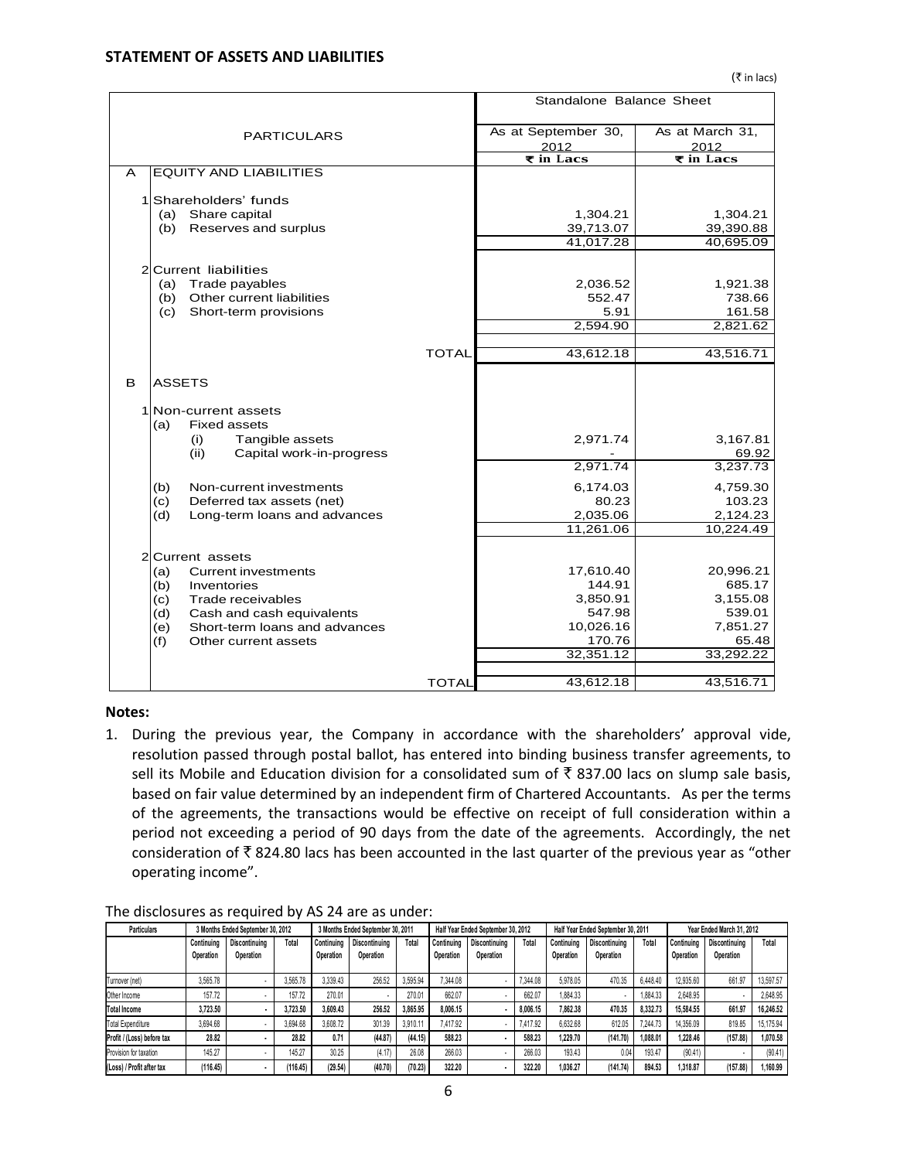# **STATEMENT OF ASSETS AND LIABILITIES**

|                |                                      |              | Standalone Balance Sheet        |                                 |
|----------------|--------------------------------------|--------------|---------------------------------|---------------------------------|
|                | <b>PARTICULARS</b>                   |              | As at September 30,<br>2012     | As at March 31,<br>2012         |
|                |                                      |              | $\overline{\mathbf{z}}$ in Lacs | $\overline{\mathbf{z}}$ in Lacs |
| A              | <b>EQUITY AND LIABILITIES</b>        |              |                                 |                                 |
| 1              | Shareholders' funds                  |              |                                 |                                 |
|                | Share capital<br>(a)                 |              | 1,304.21                        | 1,304.21                        |
|                | Reserves and surplus<br>(b)          |              | 39,713.07                       | 39,390.88                       |
|                |                                      |              | 41,017.28                       | 40,695.09                       |
| $\overline{2}$ | <b>Current liabilities</b>           |              |                                 |                                 |
|                | Trade payables<br>(a)                |              | 2,036.52                        | 1,921.38                        |
|                | Other current liabilities<br>(b)     |              | 552.47                          | 738.66                          |
|                | Short-term provisions<br>(c)         |              | 5.91                            | 161.58                          |
|                |                                      |              | 2,594.90                        | 2,821.62                        |
|                |                                      | <b>TOTAL</b> | 43,612.18                       | 43,516.71                       |
|                |                                      |              |                                 |                                 |
| в              | ASSETS                               |              |                                 |                                 |
| 1              | Non-current assets                   |              |                                 |                                 |
|                | <b>Fixed assets</b><br>(a)           |              |                                 |                                 |
|                | Tangible assets<br>(i)               |              | 2,971.74                        | 3,167.81                        |
|                | (ii)<br>Capital work-in-progress     |              |                                 | 69.92                           |
|                |                                      |              | 2,971.74                        | 3,237.73                        |
|                | (b)<br>Non-current investments       |              | 6,174.03                        | 4,759.30                        |
|                | (c)<br>Deferred tax assets (net)     |              | 80.23                           | 103.23                          |
|                | (d)<br>Long-term loans and advances  |              | 2,035.06                        | 2,124.23                        |
|                |                                      |              | 11,261.06                       | 10,224.49                       |
| 2              | Current assets                       |              |                                 |                                 |
|                | (a)<br>Current investments           |              | 17,610.40                       | 20,996.21                       |
|                | (b)<br>Inventories                   |              | 144.91                          | 685.17                          |
|                | Trade receivables<br>(c)             |              | 3,850.91                        | 3,155.08                        |
|                | (d)<br>Cash and cash equivalents     |              | 547.98                          | 539.01                          |
|                | Short-term loans and advances<br>(e) |              | 10,026.16                       | 7,851.27                        |
|                | (f)<br>Other current assets          |              | 170.76                          | 65.48                           |
|                |                                      |              | 32,351.12                       | 33,292.22                       |
|                |                                      | TOTAL        |                                 |                                 |
|                |                                      |              | 43,612.18                       | 43,516.71                       |

#### **Notes:**

1. During the previous year, the Company in accordance with the shareholders' approval vide, resolution passed through postal ballot, has entered into binding business transfer agreements, to sell its Mobile and Education division for a consolidated sum of  $\bar{\tau}$  837.00 lacs on slump sale basis, based on fair value determined by an independent firm of Chartered Accountants. As per the terms of the agreements, the transactions would be effective on receipt of full consideration within a period not exceeding a period of 90 days from the date of the agreements. Accordingly, the net consideration of  $\bar{\tau}$  824.80 lacs has been accounted in the last quarter of the previous year as "other operating income".

#### The disclosures as required by AS 24 are as under:

| <b>Particulars</b><br>3 Months Ended September 30, 2012 |            |                      | 3 Months Ended September 30, 2011 |            |                      | Half Year Ended September 30, 2012 |            |               | Half Year Ended September 30, 2011 |            |               | Year Ended March 31, 2012 |            |                      |           |
|---------------------------------------------------------|------------|----------------------|-----------------------------------|------------|----------------------|------------------------------------|------------|---------------|------------------------------------|------------|---------------|---------------------------|------------|----------------------|-----------|
|                                                         | Continuing | <b>Discontinuing</b> | Total                             | Continuing | <b>Discontinuing</b> | Total                              | Continuina | Discontinuing | Total                              | Continuina | Discontinuina | Total                     | Continuina | <b>Discontinuing</b> | Total     |
|                                                         | Operation  | Operation            |                                   | Operation  | Operation            |                                    | Operation  | Operation     |                                    | Operation  | Operation     |                           | Operation  | Operation            |           |
| Turnover (net)                                          | 3.565.78   |                      | 3.565.78                          | 3.339.43   | 256.52               | 3.595.94                           | 7.344.08   |               | 7,344.08                           | 5.978.05   | 470.35        | 6.448.40                  | 12.935.60  | 661.97               | 13,597.57 |
| Other Income                                            | 157.72     |                      | 157.72                            | 270.01     |                      | 270.01                             | 662.07     |               | 662.07                             | 1,884.33   |               | 1,884.33                  | 2.648.95   |                      | 2.648.95  |
| <b>Total Income</b>                                     | 3.723.50   |                      | 3.723.50                          | 3.609.43   | 256.52               | 3.865.95                           | 8.006.15   |               | 8.006.15                           | 7.862.38   | 470.35        | 8.332.73                  | 15.584.55  | 661.97               | 16.246.52 |
| <b>Total Expenditure</b>                                | 3.694.68   |                      | 3.694.68                          | 3.608.72   | 301.39               | 3.910.11                           | 7.417.92   |               | 7.417.92                           | 6.632.68   | 612.05        | 7.244.73                  | 14.356.09  | 819.85               | 15.175.94 |
| Profit / (Loss) before tax                              | 28.82      |                      | 28.82                             | 0.71       | (44.87)              | (44.15)                            | 588.23     |               | 588.23                             | 1.229.70   | (141.70)      | 1.088.01                  | 1.228.46   | (157.88)             | 1.070.58  |
| Provision for taxation                                  | 145.27     |                      | 145.27                            | 30.25      | (4.17)               | 26.08                              | 266.03     |               | 266.03                             | 193.43     | 0.04          | 193.47                    | (90.41)    | ۰                    | (90.41)   |
| (Loss) / Profit after tax                               | (116.45)   |                      | (116.45)                          | (29.54)    | (40.70)              | (70.23)                            | 322.20     |               | 322.20                             | 1,036.27   | (141.74)      | 894.53                    | 1.318.87   | (157.88)             | 1,160.99  |